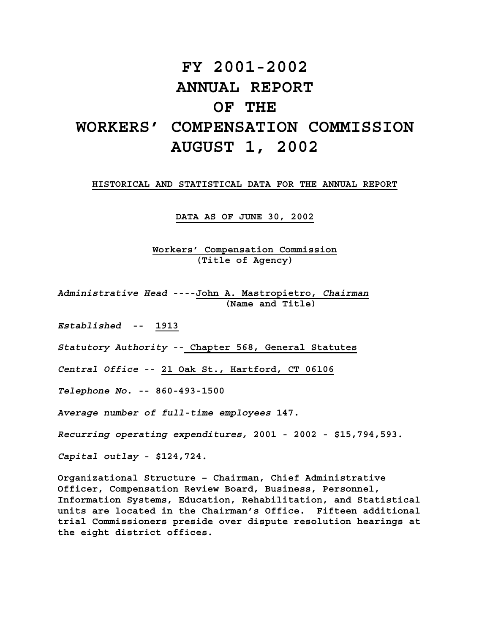# **FY 2001-2002 ANNUAL REPORT OF THE WORKERS' COMPENSATION COMMISSION AUGUST 1, 2002**

#### **HISTORICAL AND STATISTICAL DATA FOR THE ANNUAL REPORT**

**DATA AS OF JUNE 30, 2002**

**Workers' Compensation Commission (Title of Agency)** 

*Administrative Head* **----John A. Mastropietro,** *Chairman*  **(Name and Title)** 

*Established* **-- 1913** 

*Statutory Authority* **-- Chapter 568, General Statutes** 

*Central Office* **-- 21 Oak St., Hartford, CT 06106**

*Telephone No***. -- 860-493-1500** 

*Average number of full-time employees* **147.** 

*Recurring operating expenditures,* **2001 - 2002 - \$15,794,593.** 

*Capital outlay* **- \$124,724.** 

**Organizational Structure – Chairman, Chief Administrative Officer, Compensation Review Board, Business, Personnel, Information Systems, Education, Rehabilitation, and Statistical units are located in the Chairman's Office. Fifteen additional trial Commissioners preside over dispute resolution hearings at the eight district offices.**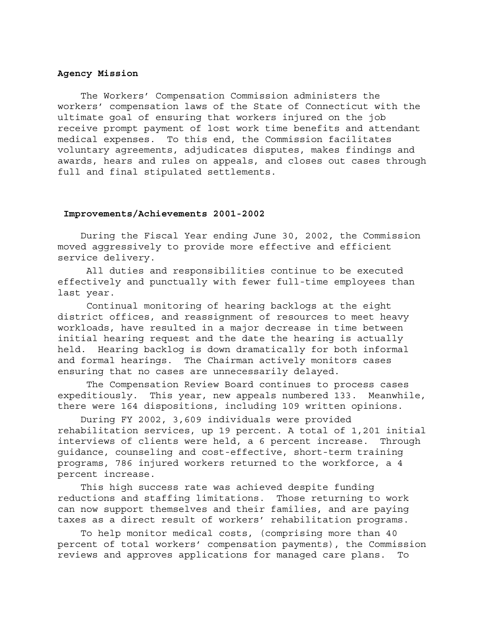#### **Agency Mission**

 The Workers' Compensation Commission administers the workers' compensation laws of the State of Connecticut with the ultimate goal of ensuring that workers injured on the job receive prompt payment of lost work time benefits and attendant medical expenses. To this end, the Commission facilitates voluntary agreements, adjudicates disputes, makes findings and awards, hears and rules on appeals, and closes out cases through full and final stipulated settlements.

#### **Improvements/Achievements 2001-2002**

 During the Fiscal Year ending June 30, 2002, the Commission moved aggressively to provide more effective and efficient service delivery.

 All duties and responsibilities continue to be executed effectively and punctually with fewer full-time employees than last year.

 Continual monitoring of hearing backlogs at the eight district offices, and reassignment of resources to meet heavy workloads, have resulted in a major decrease in time between initial hearing request and the date the hearing is actually held. Hearing backlog is down dramatically for both informal and formal hearings. The Chairman actively monitors cases ensuring that no cases are unnecessarily delayed.

The Compensation Review Board continues to process cases expeditiously. This year, new appeals numbered 133. Meanwhile, there were 164 dispositions, including 109 written opinions.

 During FY 2002, 3,609 individuals were provided rehabilitation services, up 19 percent. A total of 1,201 initial interviews of clients were held, a 6 percent increase. Through guidance, counseling and cost-effective, short-term training programs, 786 injured workers returned to the workforce, a 4 percent increase.

 This high success rate was achieved despite funding reductions and staffing limitations. Those returning to work can now support themselves and their families, and are paying taxes as a direct result of workers' rehabilitation programs.

 To help monitor medical costs, (comprising more than 40 percent of total workers' compensation payments), the Commission reviews and approves applications for managed care plans. To